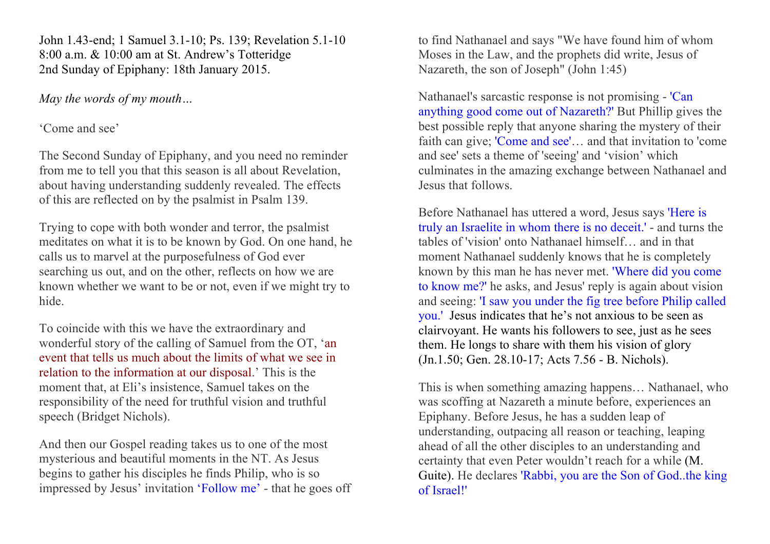John 1.43-end; 1 Samuel 3.1-10; Ps. 139; Revelation 5.1-10 8:00 a.m. & 10:00 am at St. Andrew's Totteridge 2nd Sunday of Epiphany: 18th January 2015.

#### *May the words of my mouth…*

### 'Come and see'

The Second Sunday of Epiphany, and you need no reminder from me to tell you that this season is all about Revelation, about having understanding suddenly revealed. The effects of this are reflected on by the psalmist in Psalm 139.

Trying to cope with both wonder and terror, the psalmist meditates on what it is to be known by God. On one hand, he calls us to marvel at the purposefulness of God ever searching us out, and on the other, reflects on how we are known whether we want to be or not, even if we might try to hide.

To coincide with this we have the extraordinary and wonderful story of the calling of Samuel from the OT, 'an event that tells us much about the limits of what we see in relation to the information at our disposal.' This is the moment that, at Eli's insistence, Samuel takes on the responsibility of the need for truthful vision and truthful speech (Bridget Nichols).

And then our Gospel reading takes us to one of the most mysterious and beautiful moments in the NT. As Jesus begins to gather his disciples he finds Philip, who is so impressed by Jesus' invitation 'Follow me' - that he goes off to find Nathanael and says "We have found him of whom Moses in the Law, and the prophets did write, Jesus of Nazareth, the son of Joseph" (John 1:45)

Nathanael's sarcastic response is not promising - 'Can anything good come out of Nazareth?' But Phillip gives the best possible reply that anyone sharing the mystery of their faith can give; 'Come and see'… and that invitation to 'come and see' sets a theme of 'seeing' and 'vision' which culminates in the amazing exchange between Nathanael and Jesus that follows.

Before Nathanael has uttered a word, Jesus says 'Here is truly an Israelite in whom there is no deceit.' - and turns the tables of 'vision' onto Nathanael himself… and in that moment Nathanael suddenly knows that he is completely known by this man he has never met. 'Where did you come to know me?' he asks, and Jesus' reply is again about vision and seeing: 'I saw you under the fig tree before Philip called you.' Jesus indicates that he's not anxious to be seen as clairvoyant. He wants his followers to see, just as he sees them. He longs to share with them his vision of glory (Jn.1.50; Gen. 28.10-17; Acts 7.56 - B. Nichols).

This is when something amazing happens… Nathanael, who was scoffing at Nazareth a minute before, experiences an Epiphany. Before Jesus, he has a sudden leap of understanding, outpacing all reason or teaching, leaping ahead of all the other disciples to an understanding and certainty that even Peter wouldn't reach for a while (M. Guite). He declares 'Rabbi, you are the Son of God..the king of Israel!'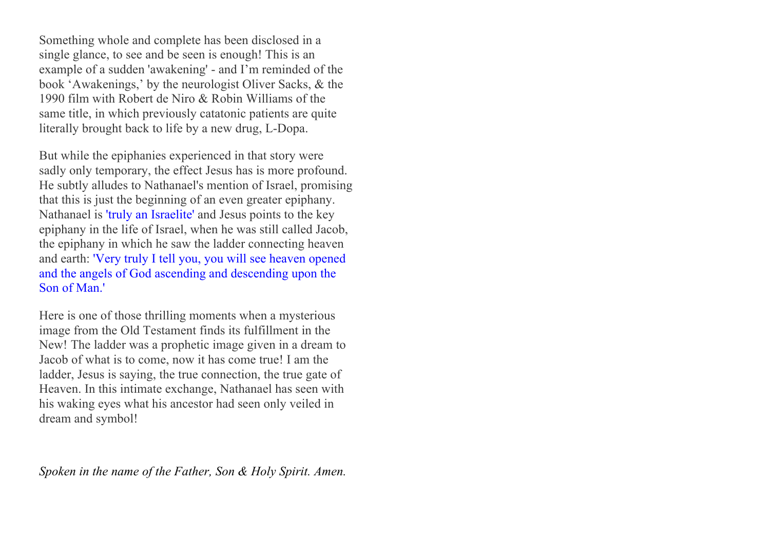Something whole and complete has been disclosed in a single glance, to see and be seen is enough! This is an example of a sudden 'awakening' - and I'm reminded of the book 'Awakenings,' by the neurologist Oliver Sacks, & the 1990 film with Robert de Niro & Robin Williams of the same title, in which previously catatonic patients are quite literally brought back to life by a new drug, L-Dopa.

But while the epiphanies experienced in that story were sadly only temporary, the effect Jesus has is more profound. He subtly alludes to Nathanael's mention of Israel, promising that this is just the beginning of an even greater epiphany. Nathanael is 'truly an Israelite' and Jesus points to the key epiphany in the life of Israel, when he was still called Jacob, the epiphany in which he saw the ladder connecting heaven and earth: 'Very truly I tell you, you will see heaven opened and the angels of God ascending and descending upon the Son of Man.'

Here is one of those thrilling moments when a mysterious image from the Old Testament finds its fulfillment in the New! The ladder was a prophetic image given in a dream to Jacob of what is to come, now it has come true! I am the ladder, Jesus is saying, the true connection, the true gate of Heaven. In this intimate exchange, Nathanael has seen with his waking eyes what his ancestor had seen only veiled in dream and symbol!

*Spoken in the name of the Father, Son & Holy Spirit. Amen.*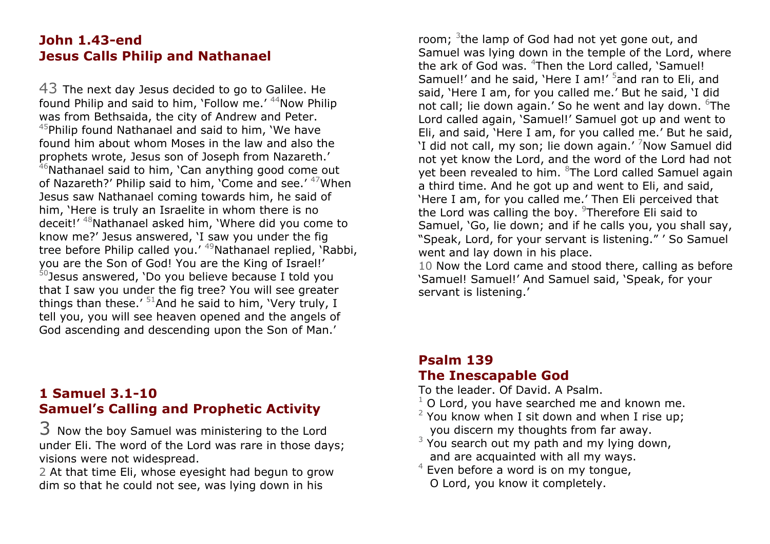### **John 1.43-end Jesus Calls Philip and Nathanael**

43 The next day Jesus decided to go to Galilee. He found Philip and said to him, 'Follow me.'  $44$ Now Philip was from Bethsaida, the city of Andrew and Peter.  $45$ Philip found Nathanael and said to him, 'We have found him about whom Moses in the law and also the prophets wrote, Jesus son of Joseph from Nazareth.'

 $46$ Nathanael said to him, 'Can anything good come out of Nazareth?' Philip said to him, 'Come and see.' <sup>47</sup>When Jesus saw Nathanael coming towards him, he said of him, 'Here is truly an Israelite in whom there is no deceit!' 48Nathanael asked him, 'Where did you come to know me?' Jesus answered, 'I saw you under the fig tree before Philip called you.' <sup>49</sup>Nathanael replied, 'Rabbi, you are the Son of God! You are the King of Israel!'  $50$  Jesus answered, 'Do you believe because I told you that I saw you under the fig tree? You will see greater things than these.'  $51$ And he said to him, 'Very truly, I tell you, you will see heaven opened and the angels of God ascending and descending upon the Son of Man.'

# **1 Samuel 3.1-10 Samuel's Calling and Prophetic Activity**

3 Now the boy Samuel was ministering to the Lord under Eli. The word of the Lord was rare in those days; visions were not widespread.

2 At that time Eli, whose eyesight had begun to grow dim so that he could not see, was lying down in his

room; <sup>3</sup>the lamp of God had not yet gone out, and Samuel was lying down in the temple of the Lord, where the ark of God was. <sup>4</sup>Then the Lord called, `Samuel! Samuel!' and he said, 'Here I am!' <sup>5</sup>and ran to Eli, and said, 'Here I am, for you called me.' But he said, 'I did not call; lie down again.' So he went and lay down. <sup>6</sup>The Lord called again, 'Samuel!' Samuel got up and went to Eli, and said, 'Here I am, for you called me.' But he said, 'I did not call, my son; lie down again.' <sup>7</sup>Now Samuel did not yet know the Lord, and the word of the Lord had not yet been revealed to him. <sup>8</sup>The Lord called Samuel again a third time. And he got up and went to Eli, and said, 'Here I am, for you called me.' Then Eli perceived that the Lord was calling the boy. <sup>9</sup>Therefore Eli said to Samuel, 'Go, lie down; and if he calls you, you shall say, "Speak, Lord, for your servant is listening." ' So Samuel went and lay down in his place.

10 Now the Lord came and stood there, calling as before 'Samuel! Samuel!' And Samuel said, 'Speak, for your servant is listening.'

### **Psalm 139 The Inescapable God**

To the leader. Of David. A Psalm.

- $1$  O Lord, you have searched me and known me.
- $2$  You know when I sit down and when I rise up; you discern my thoughts from far away.
- $3$  You search out my path and my lying down, and are acquainted with all my ways.
- $4$  Even before a word is on my tongue, O Lord, you know it completely.